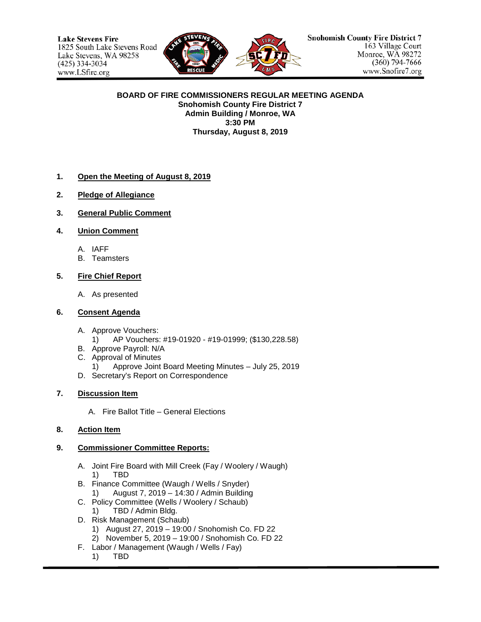

#### **BOARD OF FIRE COMMISSIONERS REGULAR MEETING AGENDA Snohomish County Fire District 7 Admin Building / Monroe, WA 3:30 PM Thursday, August 8, 2019**

### **1. Open the Meeting of August 8, 2019**

- **2. Pledge of Allegiance**
- **3. General Public Comment**
- **4. Union Comment**
	- A. IAFF
	- B. Teamsters

### **5. Fire Chief Report**

A. As presented

#### **6. Consent Agenda**

- A. Approve Vouchers:
	- 1) AP Vouchers: #19-01920 #19-01999; (\$130,228.58)
- B. Approve Payroll: N/A
- C. Approval of Minutes
	- 1) Approve Joint Board Meeting Minutes July 25, 2019
- D. Secretary's Report on Correspondence

# **7. Discussion Item**

A. Fire Ballot Title – General Elections

# **8. Action Item**

#### **9. Commissioner Committee Reports:**

- A. Joint Fire Board with Mill Creek (Fay / Woolery / Waugh) 1) TBD
- B. Finance Committee (Waugh / Wells / Snyder) 1) August 7, 2019 – 14:30 / Admin Building
- C. Policy Committee (Wells / Woolery / Schaub)
	- 1) TBD / Admin Bldg.
- D. Risk Management (Schaub)
	- 1) August 27, 2019 19:00 / Snohomish Co. FD 22
	- 2) November 5, 2019 19:00 / Snohomish Co. FD 22
- F. Labor / Management (Waugh / Wells / Fay)
	- 1) TBD